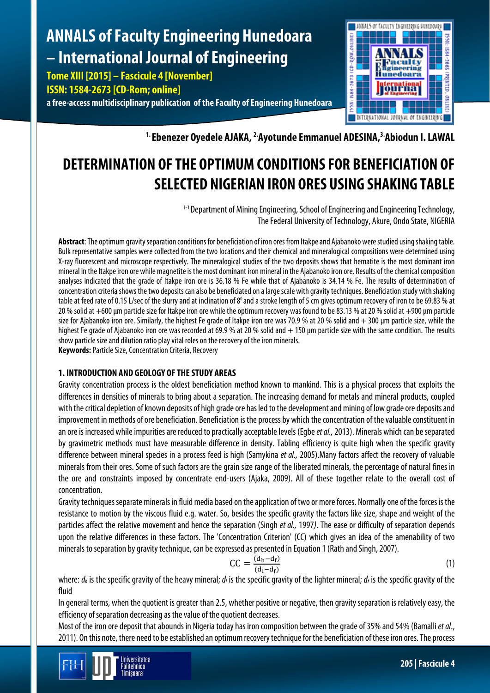# **ANNALS of Faculty Engineering Hunedoara – International Journal of Engineering**

**Tome XIII [2015] – Fascicule 4 [November] ISSN: 1584-2673 [CD-Rom; online] a free-access multidisciplinary publication of the Faculty of Engineering Hunedoara**



<sup>1.</sup> Ebenezer Oyedele AJAKA, <sup>2.</sup>Ayotunde Emmanuel ADESINA, <sup>3.</sup>Abiodun I. LAWAL

## **DETERMINATION OF THE OPTIMUM CONDITIONS FOR BENEFICIATION OF SELECTED NIGERIAN IRON ORES USING SHAKING TABLE**

<sup>1-3</sup>. Department of Mining Engineering, School of Engineering and Engineering Technology, The Federal University of Technology, Akure, Ondo State, NIGERIA

**Abstract**: The optimum gravity separation conditions for beneficiation of iron oresfrom Itakpe and Ajabanoko were studied using shaking table. Bulk representative samples were collected from the two locations and their chemical and mineralogical compositions were determined using X-ray fluorescent and microscope respectively. The mineralogical studies of the two deposits shows that hematite is the most dominant iron mineral in the Itakpe iron ore while magnetite is the most dominant iron mineral in the Ajabanoko iron ore. Results of the chemical composition analyses indicated that the grade of Itakpe iron ore is 36.18 % Fe while that of Ajabanoko is 34.14 % Fe. The results of determination of concentration criteria shows the two deposits can also be beneficiated on a large scale with gravity techniques. Beneficiation study with shaking table at feed rate of 0.15 L/sec of the slurry and at inclination of  $8^{\circ}$  and a stroke length of 5 cm gives optimum recovery of iron to be 69.83 % at 20 % solid at +600 µm particle size for Itakpe iron ore while the optimum recovery was found to be 83.13 % at 20 % solid at +900 µm particle size for Ajabanoko iron ore. Similarly, the highest Fe grade of Itakpe iron ore was 70.9 % at 20 % solid and + 300 um particle size, while the highest Fe grade of Ajabanoko iron ore was recorded at 69.9 % at 20 % solid and  $+$  150 µm particle size with the same condition. The results show particle size and dilution ratio play vital roles on the recovery of the iron minerals. **Keywords:** Particle Size, Concentration Criteria, Recovery

## **1. INTRODUCTION AND GEOLOGY OF THE STUDY AREAS**

Gravity concentration process is the oldest beneficiation method known to mankind. This is a physical process that exploits the differences in densities of minerals to bring about a separation. The increasing demand for metals and mineral products, coupled with the critical depletion of known deposits of high grade ore has led to the development and miningof low grade ore deposits and improvement in methods of ore beneficiation. Beneficiation is the process by which the concentration of the valuable constituent in an ore is increased while impurities are reduced to practically acceptable levels (Egbe*et al.,*2013). Minerals which can be separated by gravimetric methods must have measurable difference in density. Tabling efficiency is quite high when the specific gravity difference between mineral species in a process feed is high (Samykina *et al.,* 2005).Many factors affect the recovery of valuable minerals from their ores. Some of such factors are the grain size range of the liberated minerals, the percentage of natural fines in the ore and constraints imposed by concentrate end-users (Ajaka, 2009). All of these together relate to the overall cost of concentration.

Gravity techniques separate minerals in fluid media based on the application of two or more forces. Normally one of the forces is the resistance to motion by the viscous fluid e.g. water. So, besides the specific gravity the factors like size, shape and weight of the particles affect the relative movement and hence the separation (Singh *et al.,* 1997*)*. The ease or difficulty of separation depends upon the relative differences in these factors. The 'Concentration Criterion' (CC) which gives an idea of the amenability of two minerals to separation by gravity technique, can be expressed as presented in Equation 1 (Rath and Singh, 2007).

$$
CC = \frac{(d_h - d_f)}{(d_l - d_f)}
$$
 (1)

where:  $d_h$  is the specific gravity of the heavy mineral;  $d_l$  is the specific gravity of the lighter mineral;  $d_f$  is the specific gravity of the fluid

In general terms, when the quotient is greater than 2.5, whether positive or negative, then gravity separation is relatively easy, the efficiency of separation decreasing as the value of the quotient decreases.

Most of the iron ore deposit that abounds in Nigeria today has iron composition between the grade of 35% and 54% (Bamalli*et al*., 2011). On this note, there need to be established an optimum recovery technique for the beneficiation of these iron ores. The process

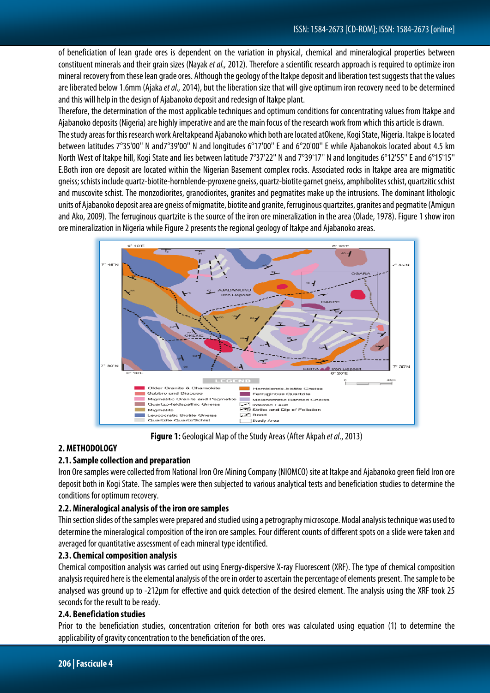of beneficiation of lean grade ores is dependent on the variation in physical, chemical and mineralogical properties between constituent minerals and their grain sizes (Nayak *et al.,*2012). Therefore a scientific research approach is required to optimize iron mineral recovery from these lean grade ores. Although the geology of the Itakpe deposit and liberation test suggests that the values are liberated below 1.6mm (Ajaka *et al.,*2014), but the liberation size that will giveoptimum iron recovery need to be determined and this will help in the design of Ajabanoko deposit and redesign of Itakpe plant.

Therefore, the determination of the most applicable techniques and optimum conditions for concentrating values from Itakpe and Ajabanoko deposits (Nigeria) are highly imperative and are the main focus of the research work from which this article is drawn.

The study areas for this research work AreItakpeand Ajabanoko which both are located atOkene, Kogi State, Nigeria. Itakpe is located between latitudes 7°35'00'' N and7°39'00'' N and longitudes 6°17'00'' E and 6°20'00'' E while Ajabanokois located about 4.5 km North West of Itakpe hill, Kogi State and lies between latitude 7°37'22'' N and 7°39'17'' N and longitudes 6°12'55'' E and 6°15'15'' E.Both iron ore deposit are located within the Nigerian Basement complex rocks. Associated rocks in Itakpe area are migmatitic gneiss;schists include quartz-biotite-hornblende-pyroxene gneiss, quartz-biotite garnet gneiss, amphibolites schist, quartzitic schist and muscovite schist. The monzodiorites, granodiorites, granites and pegmatites make up the intrusions. The dominant lithologic units of Ajabanoko deposit area are gneiss of migmatite, biotite and granite, ferruginous quartzites, granites and pegmatite (Amigun and Ako, 2009). The ferruginous quartzite is the source of the iron ore mineralization in the area (Olade, 1978). Figure 1 show iron ore mineralization in Nigeria while Figure 2 presents the regional geology of Itakpe and Ajabanoko areas.



**Figure 1:** Geological Map of the Study Areas (After Akpah *et al*., 2013)

## **2. METHODOLOGY**

## **2.1. Sample collection and preparation**

Iron Ore samples were collected from National Iron Ore Mining Company (NIOMCO) site at Itakpe and Ajabanoko green field Iron ore deposit both in Kogi State. The samples were then subjected to various analytical tests and beneficiation studies to determine the conditions for optimum recovery.

## **2.2. Mineralogical analysis of the iron ore samples**

Thin section slides of the samples were prepared and studied using a petrography microscope. Modal analysis technique was used to determine the mineralogical composition of the iron ore samples. Four different counts of different spots on a slide were taken and averaged for quantitative assessment of each mineral type identified.

## **2.3. Chemical composition analysis**

Chemical composition analysis was carried out using Energy‐dispersive X-ray Fluorescent (XRF). The type of chemical composition analysis required here is the elemental analysis of the ore in order to ascertain the percentage of elements present. The sample to be analysed was ground up to -212μm for effective and quick detection of the desired element. The analysis using the XRF took 25 seconds for the result to be ready.

## **2.4. Beneficiation studies**

Prior to the beneficiation studies, concentration criterion for both ores was calculated using equation (1) to determine the applicability of gravity concentration to the beneficiation of the ores.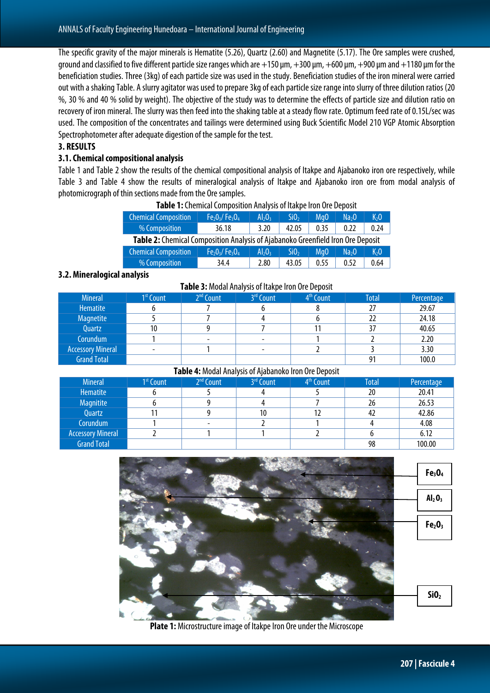The specific gravity of the major minerals is Hematite (5.26), Quartz (2.60) and Magnetite (5.17). The Ore samples were crushed, ground and classified to five different particle size ranges which are  $+150$  µm,  $+300$  µm,  $+600$  µm,  $+900$  µm and  $+1180$  µm for the beneficiation studies. Three (3kg) of each particle size was used in the study. Beneficiation studies of the iron mineral were carried out with a shaking Table. A slurry agitator was used to prepare 3kg of each particle size range into slurry of three dilution ratios (20 %, 30 % and 40 % solid by weight). The objective of the study was to determine the effects of particle size and dilution ratio on recovery of iron mineral. The slurry was then feed into the shaking table at a steady flow rate. Optimum feed rate of 0.15L/sec was used. The composition of the concentrates and tailings were determined using Buck Scientific Model 210 VGP Atomic Absorption Spectrophotometer after adequate digestion of the sample for the test.

#### **3. RESULTS**

#### **3.1. Chemical compositional analysis**

Table 1 and Table 2 show the results of the chemical compositional analysis of Itakpe and Ajabanoko iron ore respectively, while Table 3 and Table 4 show the results of mineralogical analysis of Itakpe and Ajabanoko iron ore from modal analysis of photomicrograph of thin sections made from the Ore samples.

| <b>Chemical Composition</b> | $Fe2O3/Fe3O4$                                                                   | $Al_2O_3$ | Si0 <sub>2</sub> | Mg <sub>0</sub> | Na <sub>2</sub> O | $K2$ O           |  |  |  |  |  |
|-----------------------------|---------------------------------------------------------------------------------|-----------|------------------|-----------------|-------------------|------------------|--|--|--|--|--|
| % Composition               | 36.18                                                                           | 3.20      | 0.35             | 0.22            | 0.24              |                  |  |  |  |  |  |
|                             | Table 2: Chemical Composition Analysis of Ajabanoko Greenfield Iron Ore Deposit |           |                  |                 |                   |                  |  |  |  |  |  |
| <b>Chemical Composition</b> | $Fe2O3/Fe3O4$                                                                   | $Al_2O_3$ | SiO <sub>2</sub> | MaO             | Na <sub>2</sub> 0 | K <sub>2</sub> 0 |  |  |  |  |  |
| % Composition               | 34.4                                                                            | 2.80      | 43.05            | 0.55            | 0.52              | 0.64             |  |  |  |  |  |

#### **Table 1:** Chemical Composition Analysis of Itakpe Iron Ore Deposit

#### **3.2. Mineralogical analysis**

|                          |                       | Table 3: Modal Analysis of Itakpe Iron Ore Deposit |           |                       |              |            |
|--------------------------|-----------------------|----------------------------------------------------|-----------|-----------------------|--------------|------------|
| <b>Mineral</b>           | 1 <sup>st</sup> Count | $2nd$ Count                                        | 3rd Count | 4 <sup>th</sup> Count | <b>Total</b> | Percentage |
| Hematite                 |                       |                                                    |           |                       |              | 29.67      |
| <b>Magnetite</b>         |                       |                                                    |           |                       |              | 24.18      |
| Quartz                   | 10                    |                                                    |           |                       |              | 40.65      |
| Corundum                 |                       |                                                    |           |                       |              | 2.20       |
| <b>Accessory Mineral</b> |                       |                                                    | ٠         |                       |              | 3.30       |
| <b>Grand Total</b>       |                       |                                                    |           |                       |              | 100.0      |

#### **Table 4:** Modal Analysis of Ajabanoko Iron Ore Deposit

| <b>Mineral</b>           | 1 <sup>st</sup> Count | 2 <sup>nd</sup> Count    | 3rd Count | 4 <sup>th</sup> Count | <b>Total</b> | Percentage |
|--------------------------|-----------------------|--------------------------|-----------|-----------------------|--------------|------------|
| Hematite                 |                       |                          |           |                       | 20           | 20.41      |
| Magnitite                |                       |                          |           |                       | 26           | 26.53      |
| Quartz                   |                       |                          | 10        |                       | 42           | 42.86      |
| Corundum                 |                       | $\overline{\phantom{a}}$ |           |                       |              | 4.08       |
| <b>Accessory Mineral</b> |                       |                          |           |                       |              | 6.12       |
| <b>Grand Total</b>       |                       |                          |           |                       | 98           | 100.00     |



**Plate 1:** Microstructure image of Itakpe Iron Ore under the Microscope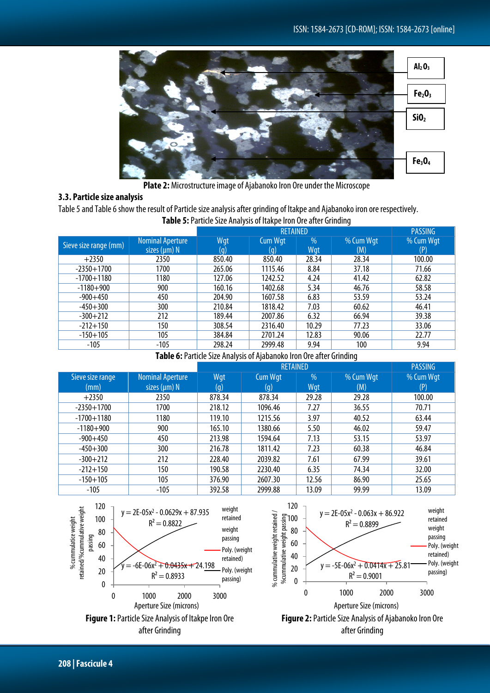

**Plate 2:** Microstructure image of Ajabanoko Iron Ore under the Microscope

## **3.3. Particle size analysis**

Table 5 and Table 6 show the result of Particle size analysis after grinding of Itakpe and Ajabanoko iron ore respectively.

|                                                                                                                     |                                              | <b>TWATE STI MITTLE SILE FRIMITSIS OF RANGE HOLL STE MITTLE SHIPMING</b> |                       |             |                  |                  |
|---------------------------------------------------------------------------------------------------------------------|----------------------------------------------|--------------------------------------------------------------------------|-----------------------|-------------|------------------|------------------|
|                                                                                                                     |                                              |                                                                          | <b>RETAINED</b>       |             |                  | <b>PASSING</b>   |
| Sieve size range (mm)<br>$+2350$<br>$-2350 + 1700$<br>$-1700 + 1180$<br>$-1180 + 900$<br>$-900+450$<br>$-450 + 300$ | <b>Nominal Aperture</b><br>sizes $(\mu m)$ N | Wqt<br>(g)                                                               | <b>Cum Wgt</b><br>(g) | $\%$<br>Wqt | % Cum Wgt<br>(M) | % Cum Wgt<br>(P) |
|                                                                                                                     | 2350                                         | 850.40                                                                   | 850.40                | 28.34       | 28.34            | 100.00           |
|                                                                                                                     | 1700                                         | 265.06                                                                   | 1115.46               | 8.84        | 37.18            | 71.66            |
|                                                                                                                     | 1180                                         | 127.06                                                                   | 1242.52               | 4.24        | 41.42            | 62.82            |
|                                                                                                                     | 900                                          | 160.16                                                                   | 1402.68               | 5.34        | 46.76            | 58.58            |
|                                                                                                                     | 450                                          | 204.90                                                                   | 1607.58               | 6.83        | 53.59            | 53.24            |
|                                                                                                                     | 300                                          | 210.84                                                                   | 1818.42               | 7.03        | 60.62            | 46.41            |
| $-300 + 212$                                                                                                        | 212                                          | 189.44                                                                   | 2007.86               | 6.32        | 66.94            | 39.38            |
| $-212+150$                                                                                                          | 150                                          | 308.54                                                                   | 2316.40               | 10.29       | 77.23            | 33.06            |
| $-150+105$                                                                                                          | 105                                          | 384.84                                                                   | 2701.24               | 12.83       | 90.06            | 22.77            |
| $-105$                                                                                                              | $-105$                                       | 298.24                                                                   | 2999.48               | 9.94        | 100              | 9.94             |

**Table 5:** Particle Size Analysisof Itakpe Iron Ore after Grinding

#### Table 6: Particle Size Analysis of Ajabanoko Iron Ore after Grinding

|                  |                         |        |                | <b>PASSING</b> |           |           |
|------------------|-------------------------|--------|----------------|----------------|-----------|-----------|
| Sieve size range | <b>Nominal Aperture</b> | Wqt    | <b>Cum Wgt</b> | $\%$           | % Cum Wgt | % Cum Wgt |
| (mm)             | sizes $(\mu m)$ N       | (g)    | (q)            | Wgt            | (M)       | (P)       |
| $+2350$          | 2350                    | 878.34 | 878.34         | 29.28          | 29.28     | 100.00    |
| $-2350 + 1700$   | 1700                    | 218.12 | 1096.46        | 7.27           | 36.55     | 70.71     |
| $-1700 + 1180$   | 1180                    | 119.10 | 1215.56        | 3.97           | 40.52     | 63.44     |
| $-1180+900$      | 900                     | 165.10 | 1380.66        | 5.50           | 46.02     | 59.47     |
| $-900+450$       | 450                     | 213.98 | 1594.64        | 7.13           | 53.15     | 53.97     |
| $-450 + 300$     | 300                     | 216.78 | 1811.42        | 7.23           | 60.38     | 46.84     |
| $-300 + 212$     | 212                     | 228.40 | 2039.82        | 7.61           | 67.99     | 39.61     |
| $-212+150$       | 150                     | 190.58 | 2230.40        | 6.35           | 74.34     | 32.00     |
| $-150+105$       | 105                     | 376.90 | 2607.30        | 12.56          | 86.90     | 25.65     |
| $-105$           | $-105$                  | 392.58 | 2999.88        | 13.09          | 99.99     | 13.09     |

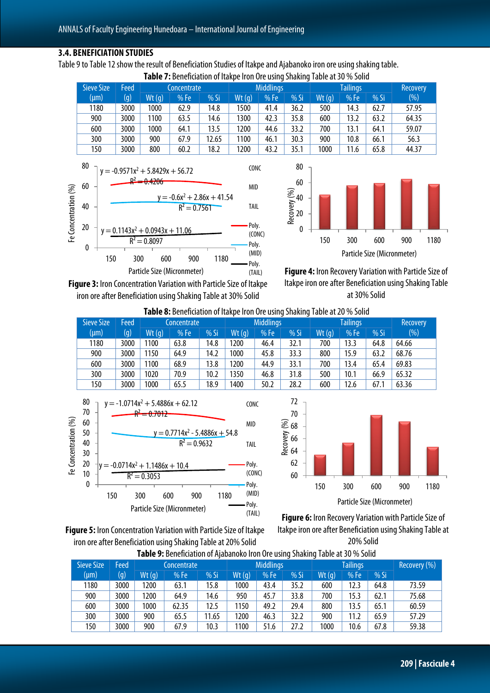#### **3.4. BENEFICIATION STUDIES**

Table 9 to Table 12 show the result of Beneficiation Studies of Itakpe and Ajabanoko iron ore using shaking table.

|                   | <b>Table 7:</b> Beneficiation of Itakpe Iron Ore using Shaking Table at 30 % Solid |       |             |        |                  |      |        |       |                 |        |       |  |  |  |
|-------------------|------------------------------------------------------------------------------------|-------|-------------|--------|------------------|------|--------|-------|-----------------|--------|-------|--|--|--|
| <b>Sieve Size</b> | <b>Feed</b>                                                                        |       | Concentrate |        | <b>Middlings</b> |      |        |       | <b>Recovery</b> |        |       |  |  |  |
| (µm)              | $(\mathfrak{g})$                                                                   | Wt(q) | %Fe         | $%$ Si | Wt(q)            | %Fe  | $%$ Si | Wt(q) | %Fe             | $%$ Si | (%)   |  |  |  |
| 1180              | 3000                                                                               | 1000  | 62.9        | 14.8   | 1500             | 41.4 | 36.2   | 500   | 14.3            | 62.7   | 57.95 |  |  |  |
| 900               | 3000                                                                               | 1100  | 63.5        | 14.6   | 1300             | 42.3 | 35.8   | 600   | 13.2            | 63.2   | 64.35 |  |  |  |
| 600               | 3000                                                                               | 1000  | 64.1        | 13.5   | 1200             | 44.6 | 33.2   | 700   | 13.1            | 64.1   | 59.07 |  |  |  |
| 300               | 3000                                                                               | 900   | 67.9        | 12.65  | 1100             | 46.1 | 30.3   | 900   | 10.8            | 66.1   | 56.3  |  |  |  |
| 150               | 3000                                                                               | 800   | 60.2        | 18.2   | 1200             | 43.2 | 35.1   | 1000  | 11.6            | 65.8   | 44.37 |  |  |  |





**Figure 4:** Iron Recovery Variation with Particle Size of Itakpe iron ore after Beneficiation using Shaking Table at 30% Solid

**Figure 3:** Iron Concentration Variation with Particle Size of Itakpe iron ore after Beneficiation using Shaking Table at 30% Solid

Particle Size (Micronmeter)

| <b>Table 8:</b> Beneficiation of Itakpe Iron Ore using Shaking Table at 20 % Solid |  |  |
|------------------------------------------------------------------------------------|--|--|
|                                                                                    |  |  |

(TAIL)

| <b>Sieve Size</b> | Feed | Concentrate |      |        | <b>Middlings</b> |      |      |       | <b>Recovery</b> |        |       |
|-------------------|------|-------------|------|--------|------------------|------|------|-------|-----------------|--------|-------|
| $(\mu m)$         | (g)  | Wt(q)       | %Fe  | $%$ Si | Wt(q)            | %Fe  | % Si | Wt(q) | %Fe             | $%$ Si | (%)   |
| 1180              | 3000 | 1100        | 63.8 | 14.8   | 200              | 46.4 | 32.1 | 700   | 13.3            | 64.8   | 64.66 |
| 900               | 3000 | 1150        | 64.9 | 14.2   | 1000             | 45.8 | 33.3 | 800   | 15.9            | 63.2   | 68.76 |
| 600               | 3000 | 1100        | 68.9 | 13.8   | 200              | 44.9 | 33.1 | 700   | 13.4            | 65.4   | 69.83 |
| 300               | 3000 | 1020        | 70.9 | 10.2   | 1350             | 46.8 | 31.8 | 500   | 10.1            | 66.9   | 65.32 |
| 150               | 3000 | 1000        | 65.5 | 18.9   | 1400             | 50.2 | 28.2 | 600   | 12.6            | 67.1   | 63.36 |



**Figure 5:** Iron Concentration Variation with Particle Size of Itakpe iron ore after Beneficiation using Shaking Table at 20% Solid



**Figure 6:** Iron Recovery Variation with Particle Size of Itakpe iron ore after Beneficiation using Shaking Table at 20% Solid

|                   |      |       | Table 9: Beneficiation of Alabanoko Iron Ore using Shaking Table at 30 % Solid |        |                  |      |        |       |                 |              |       |
|-------------------|------|-------|--------------------------------------------------------------------------------|--------|------------------|------|--------|-------|-----------------|--------------|-------|
| <b>Sieve Size</b> | Feed |       | Concentrate                                                                    |        | <b>Middlings</b> |      |        |       | <b>Tailings</b> | Recovery (%) |       |
| (µm)              | (q)  | Wt(q) | %Fe                                                                            | $%$ Si | Wt(q)            | %Fe  | $%$ Si | Wt(q) | %Fe             | % $Si$       |       |
| 1180              | 3000 | 1200  | 63.1                                                                           | 15.8   | 1000             | 43.4 | 35.2   | 600   | 12.3            | 64.8         | 73.59 |
| 900               | 3000 | 1200  | 64.9                                                                           | 14.6   | 950              | 45.7 | 33.8   | 700   | 15.3            | 62.1         | 75.68 |
| 600               | 3000 | 1000  | 62.35                                                                          | 12.5   | 1150             | 49.2 | 29.4   | 800   | 13.5            | 65.1         | 60.59 |
| 300               | 3000 | 900   | 65.5                                                                           | 11.65  | 1200             | 46.3 | 32.2   | 900   | 11.2            | 65.9         | 57.29 |
| 150               | 3000 | 900   | 67.9                                                                           | 10.3   | 1100             | 51.6 | 27.2   | 1000  | 10.6            | 67.8         | 59.38 |

**Table 9:** Beneficiation of Ajabanoko Iron Ore using Shaking Table at 30 % Solid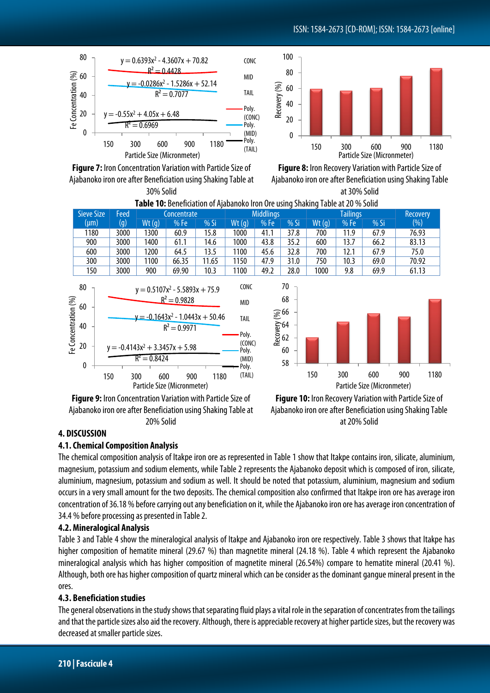## ISSN: 1584-2673[CD-ROM]; ISSN: 1584-2673 [online]



 $\theta$ 20 40 60 80 150 300 600 900 1180 Recovery (%) Particle Size (Micronmeter)

**Figure 7:** Iron Concentration Variation with Particle Size of Ajabanoko iron ore after Beneficiation using Shaking Table at 30% Solid



**Table 10:** Beneficiation of Ajabanoko Iron Ore using Shaking Table at 20 % Solid

100

|    | Sieve Size                                                   | Feed          |                              | Concentrate                                                                                                                                                                           |       |                                                                                           | <b>Middlings</b> |                                                    |       | <b>Tailings</b> |                                    | <b>Recovery</b>                                                 |      |
|----|--------------------------------------------------------------|---------------|------------------------------|---------------------------------------------------------------------------------------------------------------------------------------------------------------------------------------|-------|-------------------------------------------------------------------------------------------|------------------|----------------------------------------------------|-------|-----------------|------------------------------------|-----------------------------------------------------------------|------|
|    | (µm)                                                         | (g)           | Wt(q)                        | %Fe                                                                                                                                                                                   | %Si   | Wt(q)                                                                                     | %Fe              | %Si                                                | Wt(g) | %Fe             | $%$ Si                             | (% )                                                            |      |
|    | 1180                                                         | 3000          | 1300                         | 60.9                                                                                                                                                                                  | 15.8  | 1000                                                                                      | 41.1             | 37.8                                               | 700   | 11.9            | 67.9                               | 76.93                                                           |      |
|    | 900                                                          | 3000          | 1400                         | 61.1                                                                                                                                                                                  | 14.6  | 1000                                                                                      | 43.8             | 35.2                                               | 600   | 13.7            | 66.2                               | 83.13                                                           |      |
|    | 600                                                          | 3000          | 1200                         | 64.5                                                                                                                                                                                  | 13.5  | 1100                                                                                      | 45.6             | 32.8                                               | 700   | 12.1            | 67.9                               | 75.0                                                            |      |
|    | 300                                                          | 3000          | 1100                         | 66.35                                                                                                                                                                                 | 11.65 | 1150                                                                                      | 47.9             | 31.0                                               | 750   | 10.3            | 69.0                               | 70.92                                                           |      |
|    | 150                                                          | 3000          | 900                          | 69.90                                                                                                                                                                                 | 10.3  | 1100                                                                                      | 49.2             | 28.0                                               | 1000  | 9.8             | 69.9                               | 61.13                                                           |      |
|    | 80<br>Fe Concentration $\frac{\sqrt{6}}{2}$<br>22<br>23<br>0 | 150           | $R^2 = 0.8424$<br>600<br>300 | $y = 0.5107x^2 - 5.5893x + 75.9$<br>$R^2 = 0.9828$<br>$y = -0.1643x^2 - 1.0443x + 50.46$<br>$R^2 = 0.9971$<br>$y = -0.4143x^2 + 3.3457x + 5.98$<br>900<br>Particle Size (Micronmeter) | 1180  | CONC<br><b>MID</b><br><b>TAIL</b><br>Poly.<br>(CONC)<br>Poly.<br>(MID)<br>Poly.<br>(TAIL) |                  | 70<br>68<br>Recovery 66<br>Recovery 66<br>60<br>58 | 150   | 300             | 600<br>Particle Size (Micronmeter) | 900                                                             | 1180 |
| -. |                                                              | $\sim$ $\sim$ |                              |                                                                                                                                                                                       |       | $\epsilon$                                                                                |                  |                                                    | $ -$  |                 |                                    | $\mathbf{M}$ and $\mathbf{M}$ and $\mathbf{M}$ and $\mathbf{M}$ |      |

**Figure 9:** Iron Concentration Variation with Particle Size of Ajabanoko iron ore after Beneficiation using Shaking Table at 20% Solid



## **4. DISCUSSION**

## **4.1. Chemical Composition Analysis**

The chemical composition analysis of Itakpe iron ore as represented in Table 1 show that Itakpe contains iron, silicate, aluminium, magnesium, potassium and sodium elements, while Table 2 represents the Ajabanoko deposit which is composed of iron, silicate, aluminium, magnesium, potassium and sodium as well. It should be noted that potassium, aluminium, magnesium and sodium occurs in a very small amount for the two deposits. The chemical composition also confirmed that Itakpe iron ore has average iron concentration of 36.18 % before carrying out any beneficiation on it, while the Ajabanoko iron ore has average iron concentration of 34.4 % before processing as presented in Table 2.

## **4.2. Mineralogical Analysis**

Table 3 and Table 4 show the mineralogical analysis of Itakpe and Ajabanoko iron ore respectively. Table 3 shows that Itakpe has higher composition of hematite mineral (29.67 %) than magnetite mineral (24.18 %). Table 4 which represent the Ajabanoko mineralogical analysis which has higher composition of magnetite mineral (26.54%) compare to hematite mineral (20.41 %). Although, both ore has higher composition of quartz mineral which can be consider as the dominant gangue mineral present in the ores.

## **4.3. Beneficiation studies**

The general observations in the study shows that separating fluid plays a vital role in the separation of concentrates from the tailings and that the particle sizes also aid the recovery. Although, there is appreciable recovery at higher particle sizes, but the recovery was decreased at smaller particle sizes.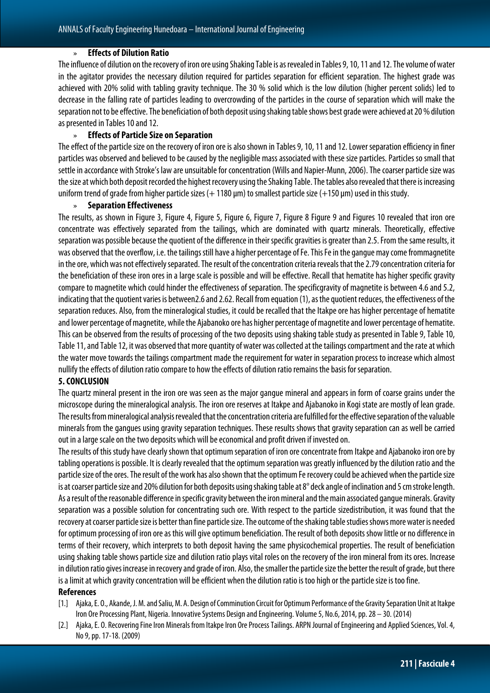#### » **Effects of Dilution Ratio**

The influence of dilution on the recovery of iron ore using Shaking Table is as revealedin Tables 9, 10, 11 and 12. The volume of water in the agitator provides the necessary dilution required for particles separation for efficient separation. The highest grade was achieved with 20% solid with tabling gravity technique. The 30 % solid which is the low dilution (higher percent solids) led to decrease in the falling rate of particles leading to overcrowding of the particles in the course of separation which will make the separation not to be effective.The beneficiation of both deposit using shaking table shows best grade were achieved at 20 % dilution as presented in Tables 10 and 12.

#### » **Effects of Particle Size on Separation**

The effect of the particle size on the recovery of iron ore is also shown in Tables 9, 10, 11 and 12. Lower separation efficiency in finer particles was observed and believed to be caused by the negligible mass associated with these size particles. Particles so small that settle in accordance with Stroke's law are unsuitable for concentration (Wills and Napier-Munn, 2006). The coarser particle size was the size at which both deposit recorded the highest recovery using the Shaking Table. The tables also revealed that there is increasing uniform trend of grade from higher particle sizes  $(+1180 \,\text{µm})$  to smallest particle size  $(+150 \,\text{µm})$  used in this study.

#### » **Separation Effectiveness**

The results, as shown in Figure 3, Figure 4, Figure 5, Figure 6, Figure 7, Figure 8 Figure 9 and Figures 10 revealed that iron ore concentrate was effectively separated from the tailings, which are dominated with quartz minerals. Theoretically, effective separation was possible because the quotient of the difference in their specific gravities is greater than 2.5. From the sameresults, it was observed that the overflow, i.e. the tailings still have a higher percentage of Fe. This Fe in the gangue may come frommagnetite in the ore, which was not effectively separated. The result of the concentration criteria reveals that the 2.79 concentration criteria for the beneficiation of these iron ores in a large scale is possible and will be effective. Recall that hematite has higher specific gravity compare to magnetite which could hinder the effectiveness of separation. The specificgravity of magnetite is between 4.6 and 5.2, indicating that the quotient varies is between2.6 and 2.62. Recall from equation (1), as the quotient reduces, the effectiveness of the separation reduces. Also, from the mineralogical studies, it could be recalled that the Itakpe ore has higher percentage of hematite and lower percentage of magnetite, while the Ajabanoko ore has higher percentage of magnetite and lower percentage of hematite. This can be observed from the results of processing of the two deposits using shaking table study as presented in Table 9, Table 10, Table 11, and Table 12, it was observed that more quantity of water was collected at the tailings compartment and the rate at which the water move towards the tailings compartment made the requirement for water in separation process to increase which almost nullify the effects of dilution ratio compare to how the effects of dilution ratio remains the basis for separation.

#### **5.CONCLUSION**

The quartz mineral present in the iron ore was seen as the major gangue mineral and appears in form of coarse grains under the microscope during the mineralogical analysis. The iron ore reserves at Itakpe and Ajabanoko in Kogi state are mostly of lean grade. The results from mineralogical analysis revealed that the concentration criteria are fulfilled for the effective separation of the valuable minerals from the gangues using gravity separation techniques. These results shows that gravity separation can as well be carried out in a large scale on the two deposits which will be economical and profit driven if invested on.

The results of this study have clearly shown that optimum separation of iron ore concentrate from Itakpe and Ajabanoko iron ore by tabling operations is possible. It is clearly revealed that the optimum separation was greatly influenced by the dilution ratio and the particle size of the ores. The result of the work has also shown that the optimum Fe recovery could be achieved when the particle size is at coarser particle size and 20% dilution for both deposits using shaking table at 8° deck angle of inclination and 5 cm stroke length. As a result of the reasonable difference in specific gravity between the iron mineral and the main associated gangue minerals. Gravity separation was a possible solution for concentrating such ore. With respect to the particle sizedistribution, it was found that the recovery at coarser particle size is better than fine particle size. The outcome of the shaking table studies shows more water is needed for optimum processing of iron ore as this will give optimum beneficiation. The result of both deposits show little or no difference in terms of their recovery, which interprets to both deposit having the same physicochemical properties. The result of beneficiation using shaking table shows particle size and dilution ratio plays vital roles on the recovery of the iron mineral from its ores. Increase in dilution ratio gives increase in recovery and grade of iron. Also, the smaller the particle size the better the result of grade, but there is a limit at which gravity concentration will be efficient when the dilution ratio is too high or the particle size is too fine.

## **References**

- [1.] Ajaka, E. O., Akande, J. M. and Saliu, M. A. Design of Comminution Circuit for Optimum Performance of the Gravity Separation Unit at Itakpe Iron Ore Processing Plant, Nigeria. Innovative Systems Design and Engineering. Volume 5, No.6, 2014, pp. 28 – 30. (2014)
- [2.] Ajaka, E. O. Recovering Fine Iron Minerals from Itakpe Iron Ore Process Tailings. ARPN Journal of Engineering and Applied Sciences, Vol. 4, No 9, pp. 17-18. (2009)